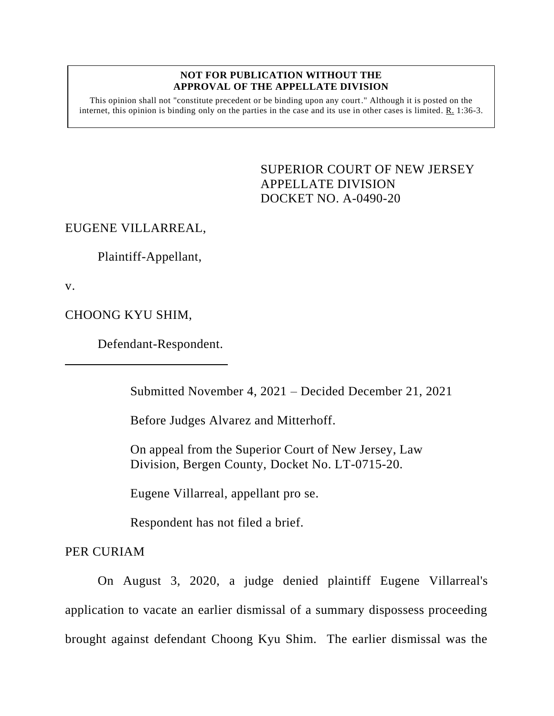## **NOT FOR PUBLICATION WITHOUT THE APPROVAL OF THE APPELLATE DIVISION**

This opinion shall not "constitute precedent or be binding upon any court." Although it is posted on the internet, this opinion is binding only on the parties in the case and its use in other cases is limited. R. 1:36-3.

> <span id="page-0-0"></span>SUPERIOR COURT OF NEW JERSEY APPELLATE DIVISION DOCKET NO. A-0490-20

## EUGENE VILLARREAL,

Plaintiff-Appellant,

v.

CHOONG KYU SHIM,

Defendant-Respondent.

Submitted November 4, 2021 – Decided December 21, 2021

Before Judges Alvarez and Mitterhoff.

On appeal from the Superior Court of New Jersey, Law Division, Bergen County, Docket No. LT-0715-20.

Eugene Villarreal, appellant pro se.

Respondent has not filed a brief.

PER CURIAM

On August 3, 2020, a judge denied plaintiff Eugene Villarreal's application to vacate an earlier dismissal of a summary dispossess proceeding brought against defendant Choong Kyu Shim. The earlier dismissal was the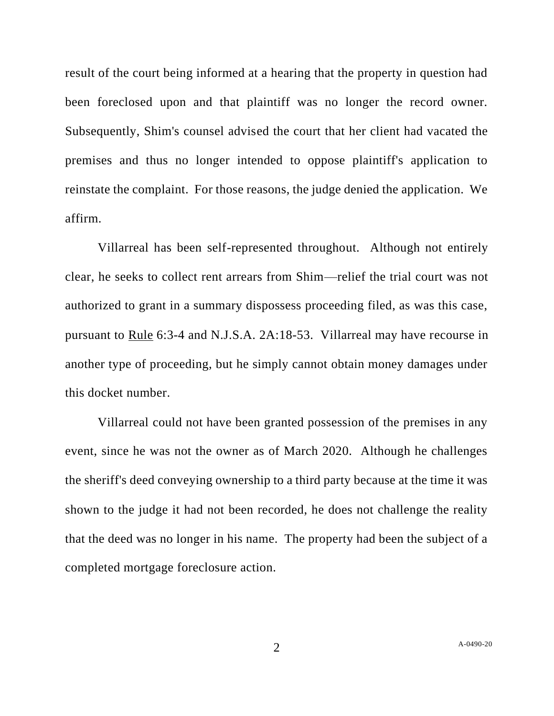result of the court being informed at a hearing that the property in question had been foreclosed upon and that plaintiff was no longer the record owner. Subsequently, Shim's counsel advised the court that her client had vacated the premises and thus no longer intended to oppose plaintiff's application to reinstate the complaint. For those reasons, the judge denied the application. We affirm.

Villarreal has been self-represented throughout. Although not entirely clear, he seeks to collect rent arrears from Shim—relief the trial court was not authorized to grant in a summary dispossess proceeding filed, as was this case, pursuant to Rule 6:3-4 and N.J.S.A. 2A:18-53. Villarreal may have recourse in another type of proceeding, but he simply cannot obtain money damages under this docket number.

Villarreal could not have been granted possession of the premises in any event, since he was not the owner as of March 2020. Although he challenges the sheriff's deed conveying ownership to a third party because at the time it was shown to the judge it had not been recorded, he does not challenge the reality that the deed was no longer in his name. The property had been the subject of a completed mortgage foreclosure action.